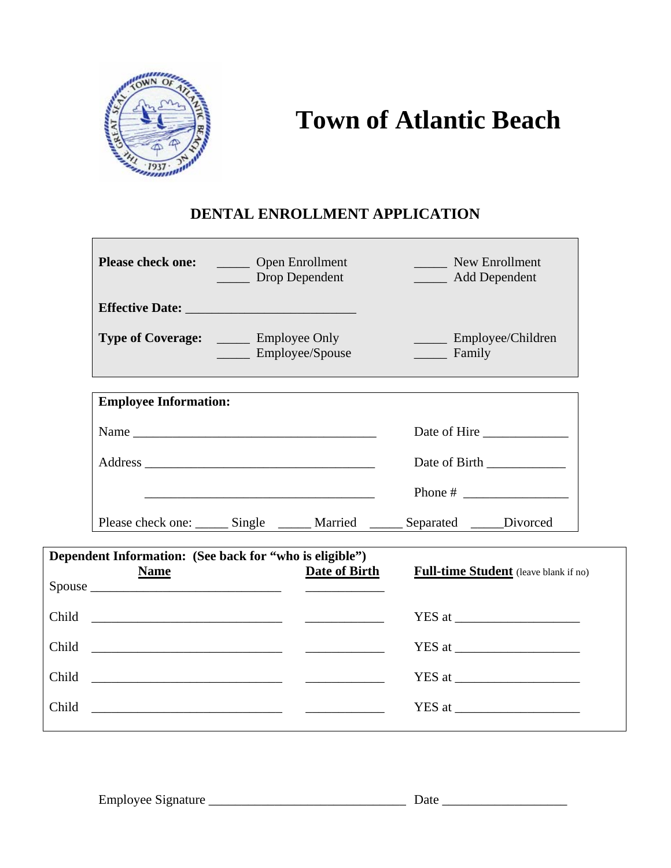

# **Town of Atlantic Beach**

ń

## **DENTAL ENROLLMENT APPLICATION**

| <b>Please check one:</b>                                               |                                                              | Open Enrollment<br>Drop Dependent                                              |               | New Enrollment<br><b>Add Dependent</b> |  |
|------------------------------------------------------------------------|--------------------------------------------------------------|--------------------------------------------------------------------------------|---------------|----------------------------------------|--|
|                                                                        |                                                              |                                                                                |               |                                        |  |
|                                                                        |                                                              | <b>Type of Coverage:</b> _______ Employee Only<br>Employee/Spouse              |               | ______ Employee/Children<br>Family     |  |
| <b>Employee Information:</b>                                           |                                                              |                                                                                |               |                                        |  |
|                                                                        |                                                              |                                                                                |               |                                        |  |
|                                                                        |                                                              |                                                                                | Date of Birth |                                        |  |
|                                                                        | <u> 1980 - Johann Barn, margaret eta idazlear (h. 1980).</u> |                                                                                |               | Phone # $\frac{1}{2}$                  |  |
|                                                                        |                                                              | Please check one: ______ Single ______ Married ______ Separated _____ Divorced |               |                                        |  |
| Dependent Information: (See back for "who is eligible")<br><b>Name</b> |                                                              | Date of Birth                                                                  |               | Full-time Student (leave blank if no)  |  |
|                                                                        |                                                              |                                                                                |               |                                        |  |
|                                                                        |                                                              |                                                                                |               |                                        |  |
| Child                                                                  |                                                              |                                                                                |               |                                        |  |
| Child                                                                  |                                                              |                                                                                |               |                                        |  |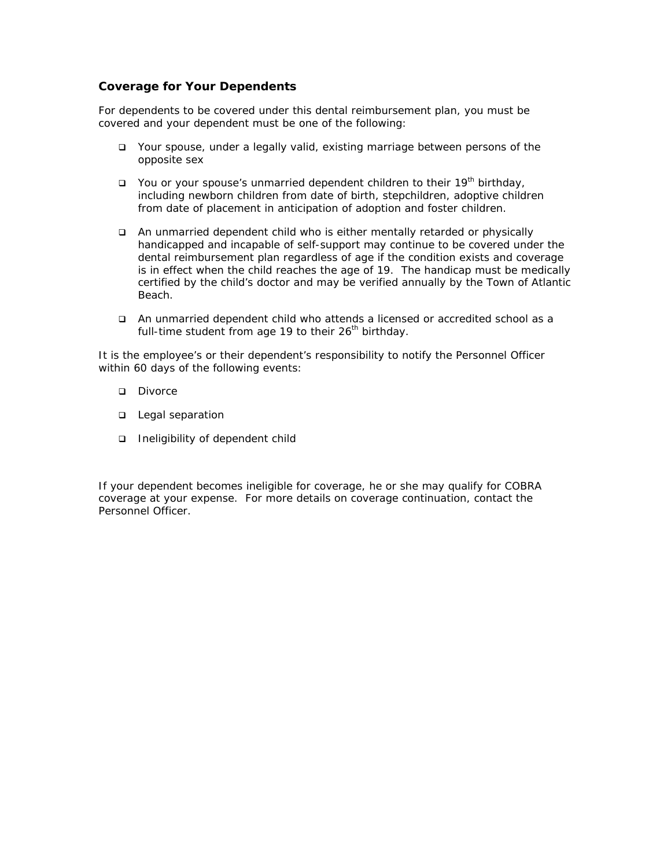### **Coverage for Your Dependents**

For dependents to be covered under this dental reimbursement plan, you must be covered and your dependent must be one of the following:

- Your spouse, under a legally valid, existing marriage between persons of the opposite sex
- $\Box$  You or your spouse's unmarried dependent children to their 19<sup>th</sup> birthday, including newborn children from date of birth, stepchildren, adoptive children from date of placement in anticipation of adoption and foster children.
- An unmarried dependent child who is either mentally retarded or physically handicapped and incapable of self-support may continue to be covered under the dental reimbursement plan regardless of age if the condition exists and coverage is in effect when the child reaches the age of 19. The handicap must be medically certified by the child's doctor and may be verified annually by the Town of Atlantic Beach.
- An unmarried dependent child who attends a licensed or accredited school as a full-time student from age 19 to their  $26<sup>th</sup>$  birthday.

It is the employee's or their dependent's responsibility to notify the Personnel Officer within 60 days of the following events:

- Divorce
- Legal separation
- Ineligibility of dependent child

If your dependent becomes ineligible for coverage, he or she may qualify for COBRA coverage at your expense. For more details on coverage continuation, contact the Personnel Officer.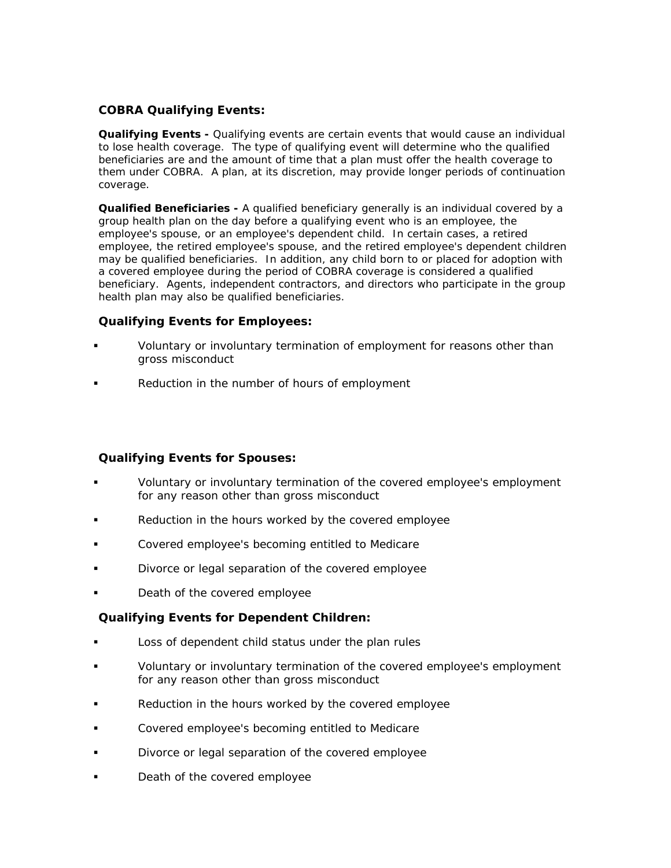## **COBRA Qualifying Events:**

**Qualifying Events -** Qualifying events are certain events that would cause an individual to lose health coverage. The type of qualifying event will determine who the qualified beneficiaries are and the amount of time that a plan must offer the health coverage to them under COBRA. A plan, at its discretion, may provide longer periods of continuation coverage.

**Qualified Beneficiaries -** A qualified beneficiary generally is an individual covered by a group health plan on the day before a qualifying event who is an employee, the employee's spouse, or an employee's dependent child. In certain cases, a retired employee, the retired employee's spouse, and the retired employee's dependent children may be qualified beneficiaries. In addition, any child born to or placed for adoption with a covered employee during the period of COBRA coverage is considered a qualified beneficiary. Agents, independent contractors, and directors who participate in the group health plan may also be qualified beneficiaries.

## **Qualifying Events for Employees:**

- Voluntary or involuntary termination of employment for reasons other than gross misconduct
- Reduction in the number of hours of employment

## **Qualifying Events for Spouses:**

- Voluntary or involuntary termination of the covered employee's employment for any reason other than gross misconduct
- Reduction in the hours worked by the covered employee
- Covered employee's becoming entitled to Medicare
- Divorce or legal separation of the covered employee
- Death of the covered employee

## **Qualifying Events for Dependent Children:**

- Loss of dependent child status under the plan rules
- Voluntary or involuntary termination of the covered employee's employment for any reason other than gross misconduct
- Reduction in the hours worked by the covered employee
- **Example 20 Covered employee's becoming entitled to Medicare**
- **Divorce or legal separation of the covered employee**
- Death of the covered employee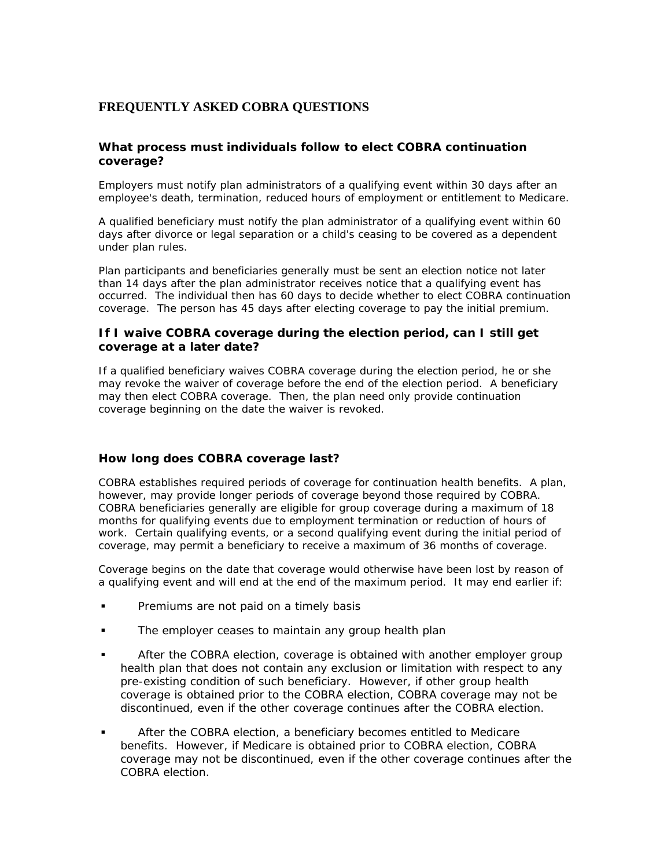## **FREQUENTLY ASKED COBRA QUESTIONS**

## **What process must individuals follow to elect COBRA continuation coverage?**

Employers must notify plan administrators of a qualifying event within 30 days after an employee's death, termination, reduced hours of employment or entitlement to Medicare.

A qualified beneficiary must notify the plan administrator of a qualifying event within 60 days after divorce or legal separation or a child's ceasing to be covered as a dependent under plan rules.

Plan participants and beneficiaries generally must be sent an election notice not later than 14 days after the plan administrator receives notice that a qualifying event has occurred. The individual then has 60 days to decide whether to elect COBRA continuation coverage. The person has 45 days after electing coverage to pay the initial premium.

## **If I waive COBRA coverage during the election period, can I still get coverage at a later date?**

If a qualified beneficiary waives COBRA coverage during the election period, he or she may revoke the waiver of coverage before the end of the election period. A beneficiary may then elect COBRA coverage. Then, the plan need only provide continuation coverage beginning on the date the waiver is revoked.

## **How long does COBRA coverage last?**

COBRA establishes required periods of coverage for continuation health benefits. A plan, however, may provide longer periods of coverage beyond those required by COBRA. COBRA beneficiaries generally are eligible for group coverage during a maximum of 18 months for qualifying events due to employment termination or reduction of hours of work. Certain qualifying events, or a second qualifying event during the initial period of coverage, may permit a beneficiary to receive a maximum of 36 months of coverage.

Coverage begins on the date that coverage would otherwise have been lost by reason of a qualifying event and will end at the end of the maximum period. It may end earlier if:

- **Premiums are not paid on a timely basis**
- The employer ceases to maintain any group health plan
- After the COBRA election, coverage is obtained with another employer group health plan that does not contain any exclusion or limitation with respect to any pre-existing condition of such beneficiary. However, if other group health coverage is obtained prior to the COBRA election, COBRA coverage may not be discontinued, even if the other coverage continues after the COBRA election.
- After the COBRA election, a beneficiary becomes entitled to Medicare benefits. However, if Medicare is obtained prior to COBRA election, COBRA coverage may not be discontinued, even if the other coverage continues after the COBRA election.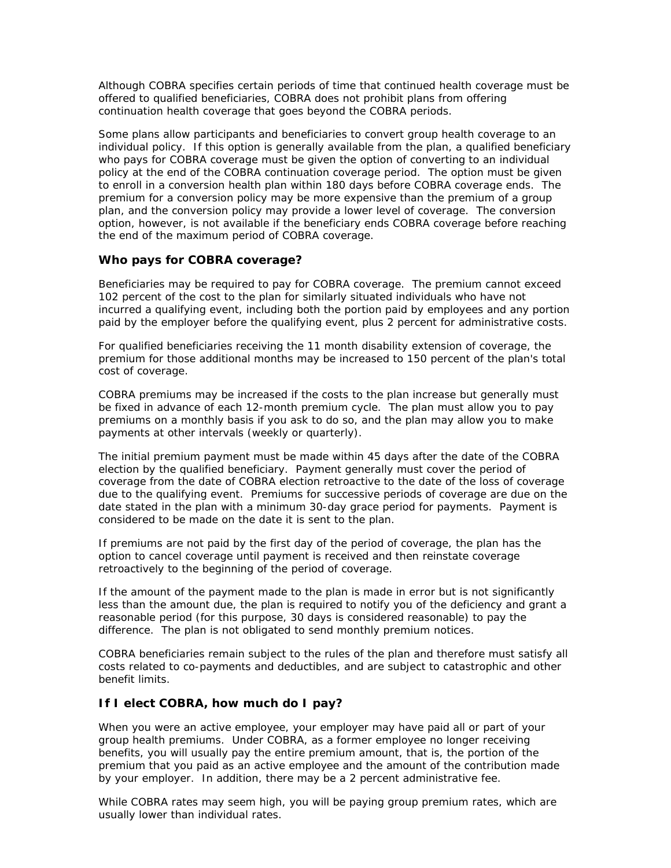Although COBRA specifies certain periods of time that continued health coverage must be offered to qualified beneficiaries, COBRA does not prohibit plans from offering continuation health coverage that goes beyond the COBRA periods.

Some plans allow participants and beneficiaries to convert group health coverage to an individual policy. If this option is generally available from the plan, a qualified beneficiary who pays for COBRA coverage must be given the option of converting to an individual policy at the end of the COBRA continuation coverage period. The option must be given to enroll in a conversion health plan within 180 days before COBRA coverage ends. The premium for a conversion policy may be more expensive than the premium of a group plan, and the conversion policy may provide a lower level of coverage. The conversion option, however, is not available if the beneficiary ends COBRA coverage before reaching the end of the maximum period of COBRA coverage.

#### **Who pays for COBRA coverage?**

Beneficiaries may be required to pay for COBRA coverage. The premium cannot exceed 102 percent of the cost to the plan for similarly situated individuals who have not incurred a qualifying event, including both the portion paid by employees and any portion paid by the employer before the qualifying event, plus 2 percent for administrative costs.

For qualified beneficiaries receiving the 11 month disability extension of coverage, the premium for those additional months may be increased to 150 percent of the plan's total cost of coverage.

COBRA premiums may be increased if the costs to the plan increase but generally must be fixed in advance of each 12-month premium cycle. The plan must allow you to pay premiums on a monthly basis if you ask to do so, and the plan may allow you to make payments at other intervals (weekly or quarterly).

The initial premium payment must be made within 45 days after the date of the COBRA election by the qualified beneficiary. Payment generally must cover the period of coverage from the date of COBRA election retroactive to the date of the loss of coverage due to the qualifying event. Premiums for successive periods of coverage are due on the date stated in the plan with a minimum 30-day grace period for payments. Payment is considered to be made on the date it is sent to the plan.

If premiums are not paid by the first day of the period of coverage, the plan has the option to cancel coverage until payment is received and then reinstate coverage retroactively to the beginning of the period of coverage.

If the amount of the payment made to the plan is made in error but is not significantly less than the amount due, the plan is required to notify you of the deficiency and grant a reasonable period (for this purpose, 30 days is considered reasonable) to pay the difference. The plan is not obligated to send monthly premium notices.

COBRA beneficiaries remain subject to the rules of the plan and therefore must satisfy all costs related to co-payments and deductibles, and are subject to catastrophic and other benefit limits.

## **If I elect COBRA, how much do I pay?**

When you were an active employee, your employer may have paid all or part of your group health premiums. Under COBRA, as a former employee no longer receiving benefits, you will usually pay the entire premium amount, that is, the portion of the premium that you paid as an active employee and the amount of the contribution made by your employer. In addition, there may be a 2 percent administrative fee.

While COBRA rates may seem high, you will be paying group premium rates, which are usually lower than individual rates.